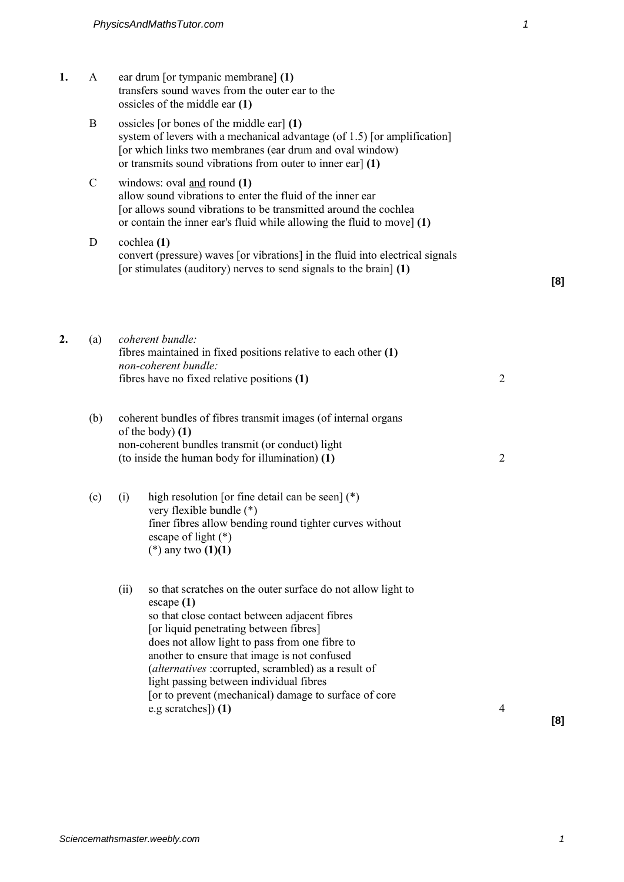- **1.** A ear drum [or tympanic membrane] **(1)** transfers sound waves from the outer ear to the ossicles of the middle ear **(1)**
	- B ossicles [or bones of the middle ear] **(1)** system of levers with a mechanical advantage (of 1.5) [or amplification] [or which links two membranes (ear drum and oval window) or transmits sound vibrations from outer to inner ear] **(1)**
	- C windows: oval and round **(1)** allow sound vibrations to enter the fluid of the inner ear [or allows sound vibrations to be transmitted around the cochlea or contain the inner ear's fluid while allowing the fluid to move] **(1)**
	- D cochlea **(1)** convert (pressure) waves [or vibrations] in the fluid into electrical signals [or stimulates (auditory) nerves to send signals to the brain] **(1)**

| 2. | (a) | coherent bundle:<br>fibres maintained in fixed positions relative to each other $(1)$<br>non-coherent bundle:<br>fibres have no fixed relative positions (1)                                                                                                                                                                                                                                                                                                         | 2              |
|----|-----|----------------------------------------------------------------------------------------------------------------------------------------------------------------------------------------------------------------------------------------------------------------------------------------------------------------------------------------------------------------------------------------------------------------------------------------------------------------------|----------------|
|    | (b) | coherent bundles of fibres transmit images (of internal organs<br>of the body) $(1)$<br>non-coherent bundles transmit (or conduct) light<br>(to inside the human body for illumination) (1)                                                                                                                                                                                                                                                                          | $\overline{2}$ |
|    | (c) | high resolution [or fine detail can be seen] $(*)$<br>(i)<br>very flexible bundle (*)<br>finer fibres allow bending round tighter curves without<br>escape of light $(*)$<br>(*) any two $(1)(1)$                                                                                                                                                                                                                                                                    |                |
|    |     | (ii)<br>so that scratches on the outer surface do not allow light to<br>$\cscape(1)$<br>so that close contact between adjacent fibres<br>[or liquid penetrating between fibres]<br>does not allow light to pass from one fibre to<br>another to ensure that image is not confused<br>(alternatives : corrupted, scrambled) as a result of<br>light passing between individual fibres<br>[or to prevent (mechanical) damage to surface of core<br>e.g scratches]) (1) | 4              |

**[8]**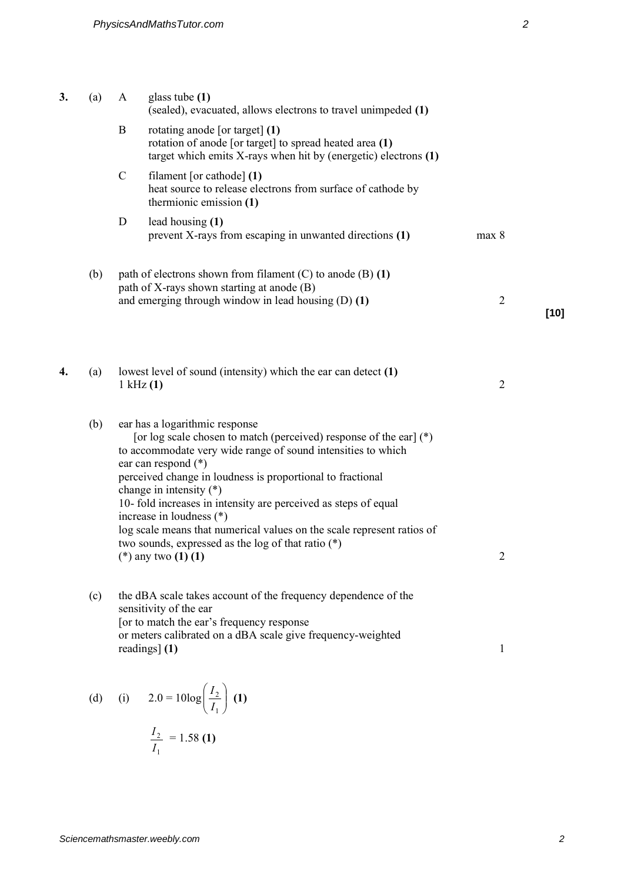| 3. | (a) | A             | glass tube $(1)$<br>(sealed), evacuated, allows electrons to travel unimpeded (1)                                                                                                                                                                                                                                                                                                                                                                                                                                                                    |                |        |
|----|-----|---------------|------------------------------------------------------------------------------------------------------------------------------------------------------------------------------------------------------------------------------------------------------------------------------------------------------------------------------------------------------------------------------------------------------------------------------------------------------------------------------------------------------------------------------------------------------|----------------|--------|
|    |     | B             | rotating anode [or target] (1)<br>rotation of anode [or target] to spread heated area (1)<br>target which emits $X$ -rays when hit by (energetic) electrons $(1)$                                                                                                                                                                                                                                                                                                                                                                                    |                |        |
|    |     | $\mathcal{C}$ | filament [or cathode] $(1)$<br>heat source to release electrons from surface of cathode by<br>thermionic emission (1)                                                                                                                                                                                                                                                                                                                                                                                                                                |                |        |
|    |     | D             | lead housing (1)<br>prevent X-rays from escaping in unwanted directions (1)                                                                                                                                                                                                                                                                                                                                                                                                                                                                          | max 8          |        |
|    | (b) |               | path of electrons shown from filament $(C)$ to anode $(B)$ $(1)$<br>path of X-rays shown starting at anode (B)                                                                                                                                                                                                                                                                                                                                                                                                                                       |                |        |
|    |     |               | and emerging through window in lead housing $(D)$ $(1)$                                                                                                                                                                                                                                                                                                                                                                                                                                                                                              | $\overline{2}$ | $[10]$ |
|    |     |               |                                                                                                                                                                                                                                                                                                                                                                                                                                                                                                                                                      |                |        |
| 4. | (a) |               | lowest level of sound (intensity) which the ear can detect (1)<br>$1$ kHz $(1)$                                                                                                                                                                                                                                                                                                                                                                                                                                                                      | $\overline{2}$ |        |
|    | (b) |               | ear has a logarithmic response<br>[or log scale chosen to match (perceived) response of the ear] $(*)$<br>to accommodate very wide range of sound intensities to which<br>ear can respond (*)<br>perceived change in loudness is proportional to fractional<br>change in intensity $(*)$<br>10- fold increases in intensity are perceived as steps of equal<br>increase in loudness (*)<br>log scale means that numerical values on the scale represent ratios of<br>two sounds, expressed as the log of that ratio $(*)$<br>(*) any two $(1)$ $(1)$ | $\overline{c}$ |        |
|    | (c) |               | the dBA scale takes account of the frequency dependence of the<br>sensitivity of the ear<br>[or to match the ear's frequency response<br>or meters calibrated on a dBA scale give frequency-weighted                                                                                                                                                                                                                                                                                                                                                 |                |        |
|    |     |               | readings] (1)                                                                                                                                                                                                                                                                                                                                                                                                                                                                                                                                        | $\mathbf{1}$   |        |

(d) (i) 
$$
2.0 = 10\log\left(\frac{I_2}{I_1}\right)
$$
 (1)  
 $\frac{I_2}{I_1} = 1.58$  (1)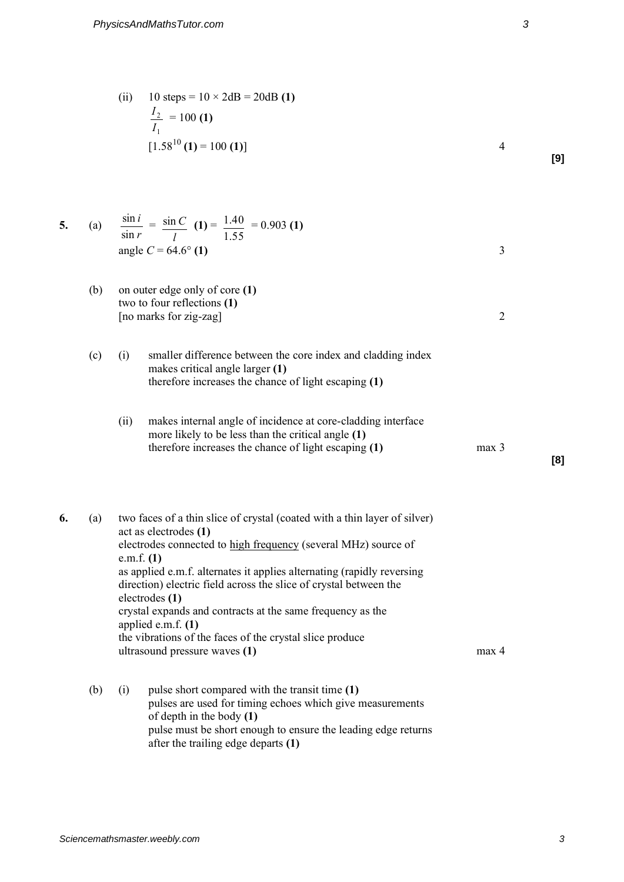| (ii) | 10 steps = $10 \times 2dB = 20dB(1)$ |  |
|------|--------------------------------------|--|
|      | $\frac{I_2}{I_1}$ = 100 (1)          |  |
|      |                                      |  |
|      | $[1.58^{10}(1) = 100(1)]$            |  |

**[9]** 

**[8]** 

| 5. | (a) | $\sin i$<br>$=\frac{\sin C}{1}$ (1) = $\frac{1.40}{1.40}$ = 0.903 (1)<br>1.55<br>$\sin r$<br>angle $C = 64.6^{\circ}$ (1) |  |
|----|-----|---------------------------------------------------------------------------------------------------------------------------|--|
|    | (b) | on outer edge only of core (1)<br>two to four reflections (1)                                                             |  |

[no marks for zig-zag] 2

- (c) (i) smaller difference between the core index and cladding index makes critical angle larger **(1)** therefore increases the chance of light escaping **(1)**
	- (ii) makes internal angle of incidence at core-cladding interface more likely to be less than the critical angle **(1)** therefore increases the chance of light escaping **(1)** max 3

**6.** (a) two faces of a thin slice of crystal (coated with a thin layer of silver) act as electrodes **(1)** electrodes connected to high frequency (several MHz) source of e.m.f. **(1)** as applied e.m.f. alternates it applies alternating (rapidly reversing direction) electric field across the slice of crystal between the electrodes **(1)** crystal expands and contracts at the same frequency as the applied e.m.f. **(1)** the vibrations of the faces of the crystal slice produce ultrasound pressure waves **(1)** max 4

(b) (i) pulse short compared with the transit time **(1)** pulses are used for timing echoes which give measurements of depth in the body **(1)** pulse must be short enough to ensure the leading edge returns after the trailing edge departs **(1)**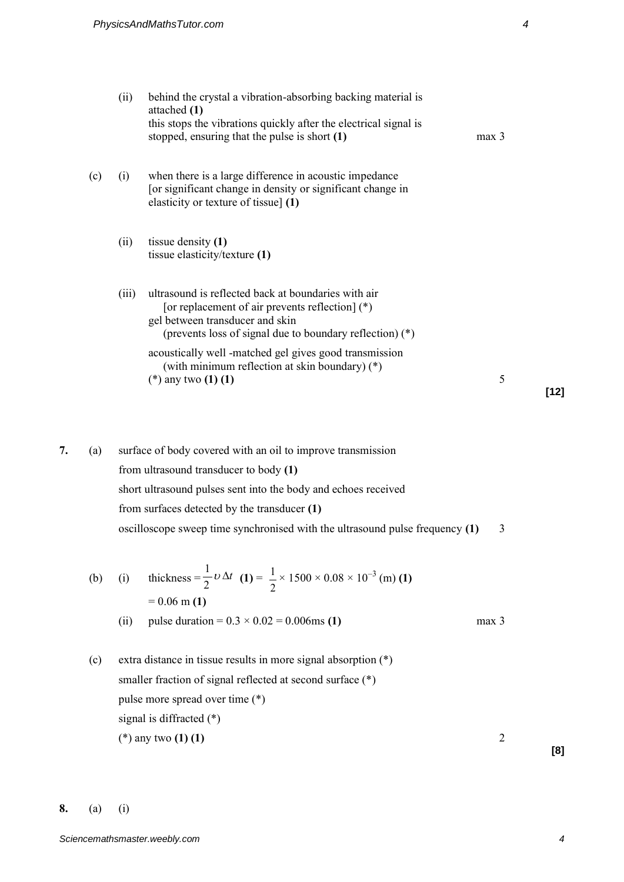|    |     | (ii)  | behind the crystal a vibration-absorbing backing material is<br>attached (1)<br>this stops the vibrations quickly after the electrical signal is<br>stopped, ensuring that the pulse is short (1)       | max <sub>3</sub> |
|----|-----|-------|---------------------------------------------------------------------------------------------------------------------------------------------------------------------------------------------------------|------------------|
|    | (c) | (i)   | when there is a large difference in acoustic impedance<br>[or significant change in density or significant change in<br>elasticity or texture of tissue] (1)                                            |                  |
|    |     | (ii)  | tissue density $(1)$<br>tissue elasticity/texture (1)                                                                                                                                                   |                  |
|    |     | (iii) | ultrasound is reflected back at boundaries with air<br>[or replacement of air prevents reflection] (*)<br>gel between transducer and skin<br>(prevents loss of signal due to boundary reflection) $(*)$ |                  |
|    |     |       | acoustically well -matched gel gives good transmission<br>(with minimum reflection at skin boundary) (*)<br>(*) any two $(1)$ $(1)$                                                                     | 5                |
| 7. | (a) |       | surface of body covered with an oil to improve transmission                                                                                                                                             |                  |

from ultrasound transducer to body **(1)** short ultrasound pulses sent into the body and echoes received from surfaces detected by the transducer **(1)** oscilloscope sweep time synchronised with the ultrasound pulse frequency **(1)** 3

(b) (i) thickness 
$$
=\frac{1}{2}v\Delta t
$$
 (1)  $=\frac{1}{2} \times 1500 \times 0.08 \times 10^{-3}$  (m) (1)  
= 0.06 m (1)  
(ii) pulse duration = 0.3 × 0.02 = 0.006ms (1) max 3

(c) extra distance in tissue results in more signal absorption (\*) smaller fraction of signal reflected at second surface (\*) pulse more spread over time (\*) signal is diffracted (\*) (\*) any two **(1) (1)** 2

**[8]** 

**[12]**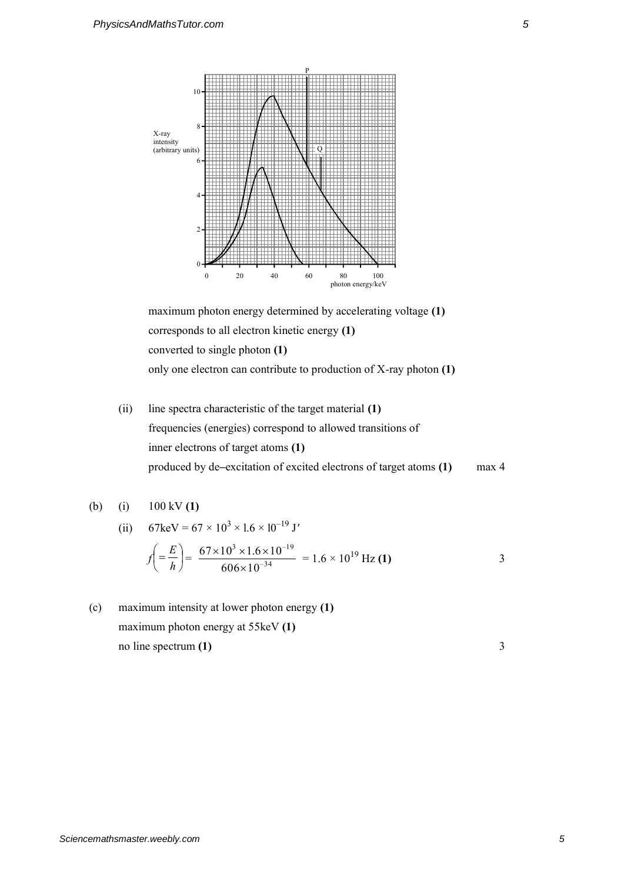

maximum photon energy determined by accelerating voltage **(1)** corresponds to all electron kinetic energy **(1)** converted to single photon **(1)** only one electron can contribute to production of X-ray photon **(1)**

(ii) line spectra characteristic of the target material **(1)** frequencies (energies) correspond to allowed transitions of inner electrons of target atoms **(1)** produced by de**–**excitation of excited electrons of target atoms **(1)** max 4

(b) (i) 
$$
100 \, \text{kV (1)}
$$

(ii) 
$$
67 \text{keV} = 67 \times 10^{3} \times 1.6 \times 10^{-19} \text{ J'}
$$

$$
f\left(=\frac{E}{h}\right) = \frac{67 \times 10^{3} \times 1.6 \times 10^{-19}}{606 \times 10^{-34}} = 1.6 \times 10^{19} \text{ Hz (1)}
$$
3

(c) maximum intensity at lower photon energy **(1)** maximum photon energy at 55keV **(1)** no line spectrum **(1)** 3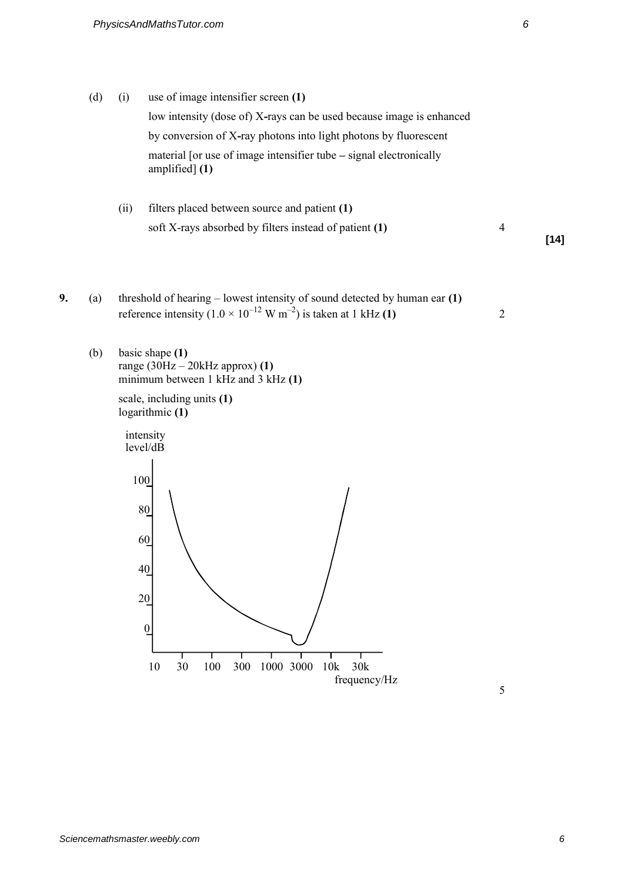- (d) (i) use of image intensifier screen **(1)** low intensity (dose of) X**-**rays can be used because image is enhanced by conversion of X**-**ray photons into light photons by fluorescent material [or use of image intensifier tube **–** signal electronically amplified] **(1)**
	- (ii) filters placed between source and patient **(1)** soft X-rays absorbed by filters instead of patient **(1)** 4

**[14]** 

- **9.** (a) threshold of hearing lowest intensity of sound detected by human ear **(1)** reference intensity  $(1.0 \times 10^{-12} \text{ W m}^{-2})$  is taken at 1 kHz  $(1)$  2
	- (b) basic shape **(1)** range (30Hz – 20kHz approx) **(1)** minimum between 1 kHz and 3 kHz **(1)**

 scale, including units **(1)** logarithmic **(1)**

intensity level/dB

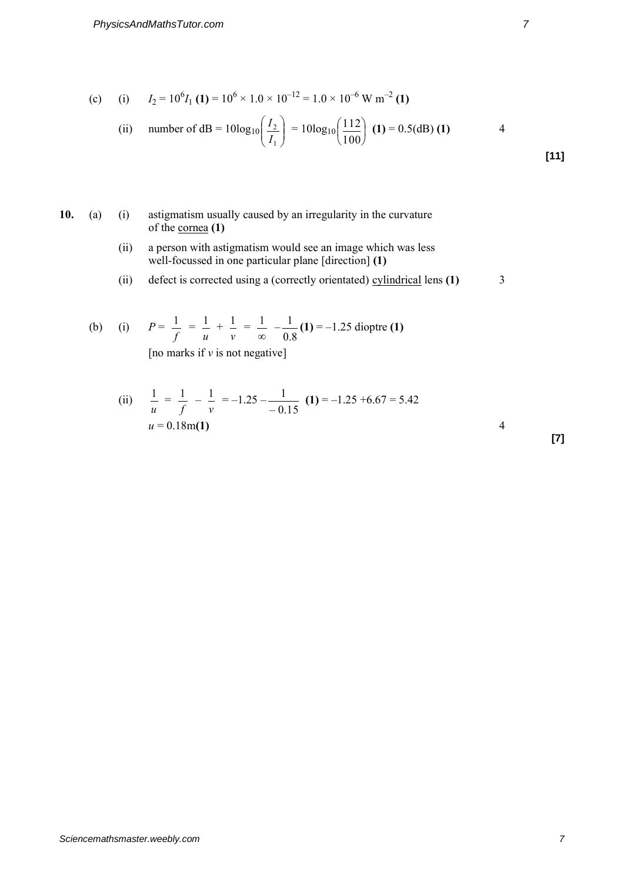(c) (i) 
$$
I_2 = 10^6 I_1 (1) = 10^6 \times 1.0 \times 10^{-12} = 1.0 \times 10^{-6} \text{ W m}^{-2} (1)
$$

(ii) number of dB = 
$$
10\log_{10}\left(\frac{I_2}{I_1}\right) = 10\log_{10}\left(\frac{112}{100}\right)
$$
 (1) = 0.5(dB) (1)

## **10.** (a) (i) astigmatism usually caused by an irregularity in the curvature of the cornea **(1)**

- (ii) a person with astigmatism would see an image which was less well-focussed in one particular plane [direction] **(1)**
- (ii) defect is corrected using a (correctly orientated) cylindrical lens **(1)** 3

(b) (i) 
$$
P = \frac{1}{f} = \frac{1}{u} + \frac{1}{v} = \frac{1}{\infty} - \frac{1}{0.8}
$$
 (1) = -1.25 dioptre (1)  
Ino marks if y is not negatively

[no marks if *v* is not negative]

(ii) 
$$
\frac{1}{u} = \frac{1}{f} - \frac{1}{v} = -1.25 - \frac{1}{-0.15}
$$
 (1) = -1.25 +6.67 = 5.42  

$$
u = 0.18m(1)
$$
 4

**[7]**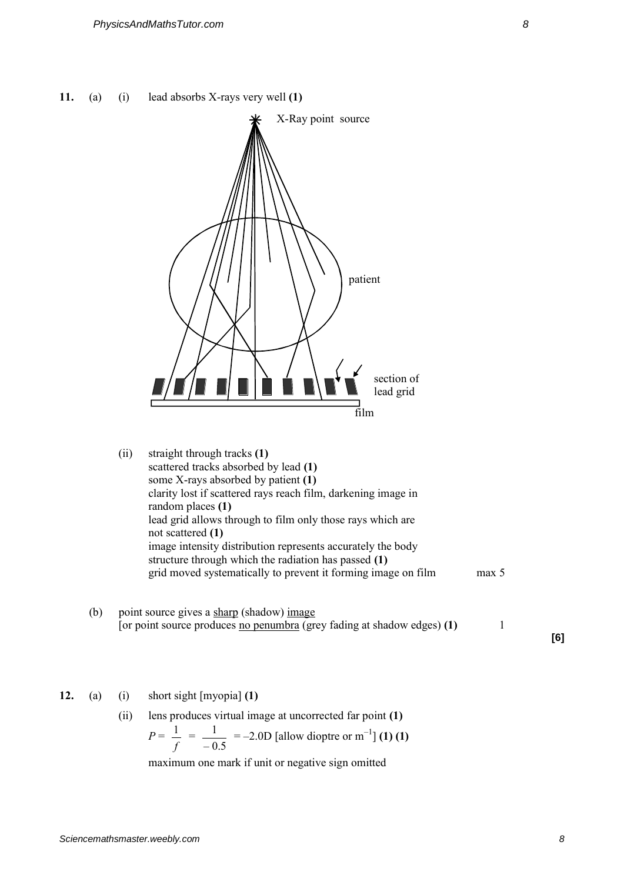



## **12.** (a) (i) short sight [myopia] **(1)**

(ii) lens produces virtual image at uncorrected far point **(1)**

$$
P = \frac{1}{f} = \frac{1}{-0.5} = -2.0D
$$
 [allow dioptre or m<sup>-1</sup>] (1) (1)

maximum one mark if unit or negative sign omitted

**[6]**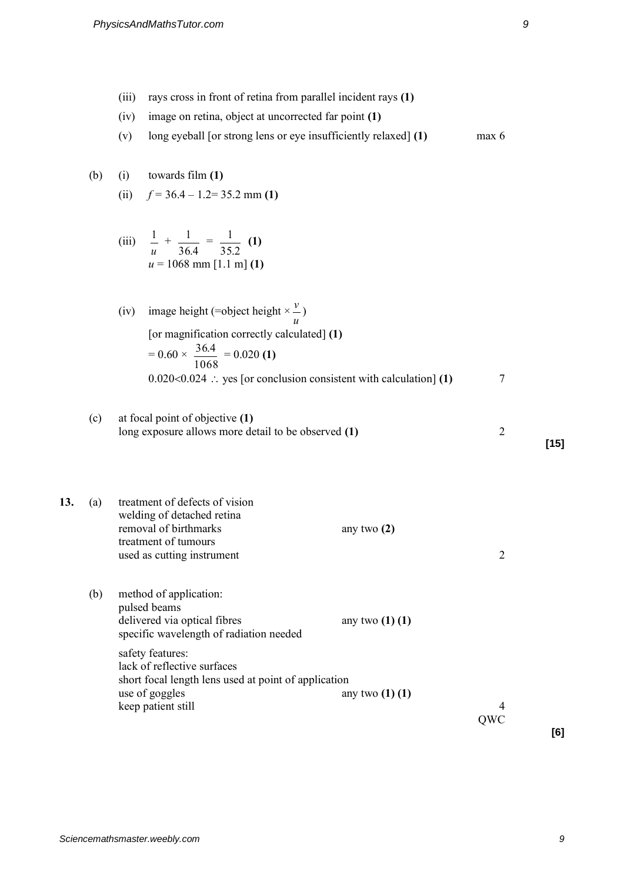- (iii) rays cross in front of retina from parallel incident rays **(1)**
- (iv) image on retina, object at uncorrected far point **(1)**
- (v) long eyeball [or strong lens or eye insufficiently relaxed] **(1)** max 6

## (b) (i) towards film **(1)**

- (ii)  $f = 36.4 1.2 = 35.2$  mm (1)
- (iii) *u*  $\frac{1}{-}$  + 36 4.  $\frac{1}{\cdots}$  = 35 2.  $\frac{1}{\sqrt{2}}$  (1)  $u = 1068$  mm [1.1 m] **(1)**
- (iv) image height (=object height  $\times$ *u v* ) [or magnification correctly calculated] **(1)**  $= 0.60 \times$ 1068  $\frac{36.4}{1000}$  = 0.020 (1)  $0.020 \le 0.024$  : yes [or conclusion consistent with calculation] **(1)**  $\qquad \qquad$  7
- (c) at focal point of objective **(1)** long exposure allows more detail to be observed **(1)** 2 **[15]**
- **13.** (a) treatment of defects of vision welding of detached retina removal of birthmarks any two **(2)** treatment of tumours used as cutting instrument 2

(b) method of application: pulsed beams delivered via optical fibres any two **(1) (1)** specific wavelength of radiation needed safety features: lack of reflective surfaces short focal length lens used at point of application use of goggles any two **(1) (1)** keep patient still 4

**[6]** 

**OWC**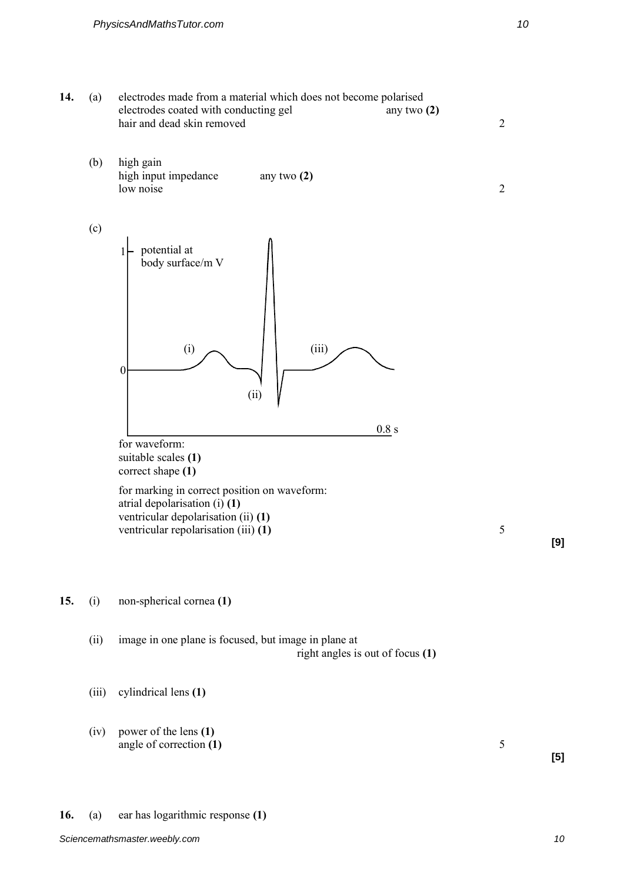

**15.** (i) non-spherical cornea **(1)**

(ii) image in one plane is focused, but image in plane at right angles is out of focus **(1)**

(iii) cylindrical lens **(1)**

(iv) power of the lens **(1)** angle of correction **(1)** 5

**[9]** 

**[5]**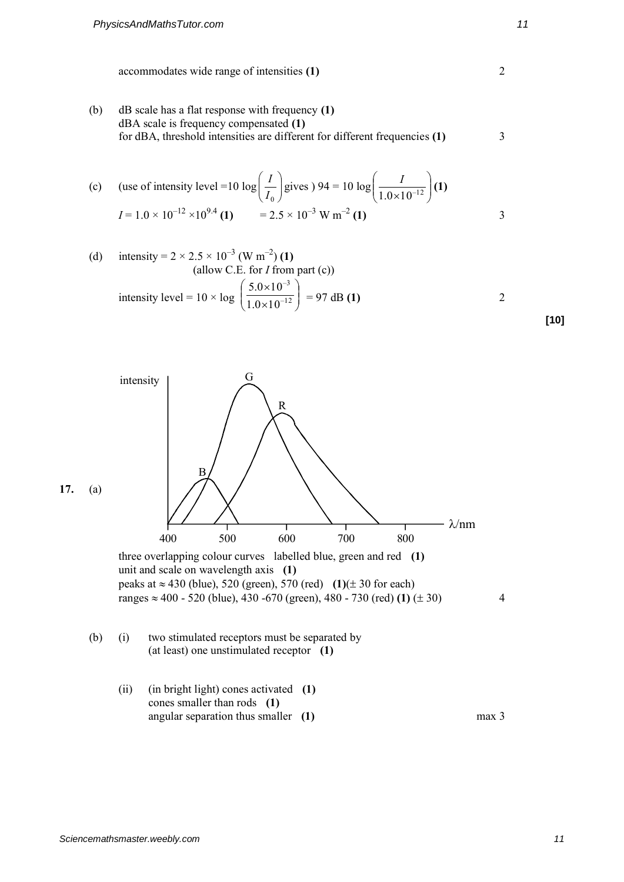(b) dB scale has a flat response with frequency **(1)** dBA scale is frequency compensated **(1)** for dBA, threshold intensities are different for different frequencies **(1)** 3

(c) (use of intensity level =10 log 
$$
\left(\frac{I}{I_0}\right)
$$
 gives  $94 = 10 \log \left(\frac{I}{1.0 \times 10^{-12}}\right)$  (1)  

$$
I = 1.0 \times 10^{-12} \times 10^{9.4}
$$
 (1) = 2.5 × 10<sup>-3</sup> W m<sup>-2</sup> (1)

(d) intensity = 
$$
2 \times 2.5 \times 10^{-3}
$$
 (W m<sup>-2</sup>) (1)  
\n(allow C.E. for *I* from part (c))  
\nintensity level =  $10 \times \log \left( \frac{5.0 \times 10^{-3}}{1.0 \times 10^{-12}} \right)$  = 97 dB (1)



**[10]**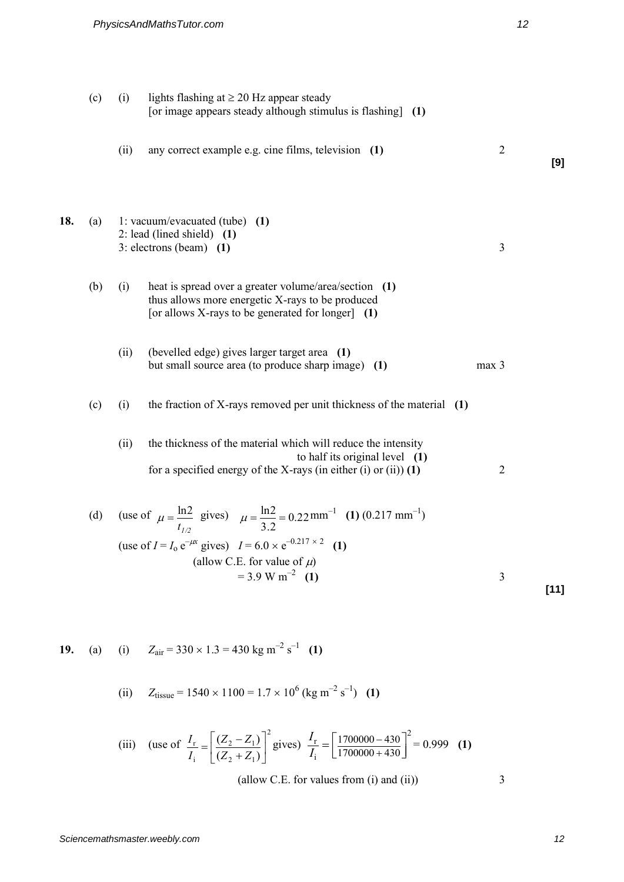(c) (i) lights flashing at  $\geq$  20 Hz appear steady [or image appears steady although stimulus is flashing] **(1)** (ii) any correct example e.g. cine films, television **(1)** 2 **[9] 18.** (a) 1: vacuum/evacuated (tube) **(1)** 2: lead (lined shield) **(1)** 3: electrons (beam) **(1)** 3 (b) (i) heat is spread over a greater volume/area/section **(1)** thus allows more energetic X-rays to be produced [or allows X-rays to be generated for longer] **(1)** (ii) (bevelled edge) gives larger target area **(1)** but small source area (to produce sharp image) **(1)** max 3 (c) (i) the fraction of X-rays removed per unit thickness of the material **(1)** (ii) the thickness of the material which will reduce the intensity to half its original level **(1)** for a specified energy of the X-rays (in either (i) or (ii)) **(1)** 2 (d) (use of  $t_{1/2}$  $\mu = \frac{\ln 2}{\ln 2}$  gives)  $\mu = \frac{\ln 2}{\ln 2} = 0.22$ 3.2  $\mu = \frac{\ln 2}{\ln 2} = 0.22 \text{ mm}^{-1}$  (1) (0.217 mm<sup>-1</sup>) (use of  $I = I_0 e^{-\mu x}$  gives)  $I = 6.0 \times e^{-0.217 \times 2}$  (1) (allow C.E. for value of  $\mu$ )  $= 3.9 \text{ W m}^{-2}$  (1) **(1)** 3 **[11] 19.** (a) (i)  $Z_{\text{air}} = 330 \times 1.3 = 430 \text{ kg m}^{-2} \text{ s}^{-1}$  (1) (ii)  $Z_{\text{tissue}} = 1540 \times 1100 = 1.7 \times 10^6 \text{ (kg m}^{-2} \text{ s}^{-1})$  (1)

(iii) (use of 
$$
\frac{I_r}{I_i} = \left[ \frac{(Z_2 - Z_1)}{(Z_2 + Z_1)} \right]^2
$$
 gives)  $\frac{I_r}{I_i} = \left[ \frac{1700000 - 430}{1700000 + 430} \right]^2 = 0.999$  (1)

(allow C.E. for values from  $(i)$  and  $(ii)$ )  $3$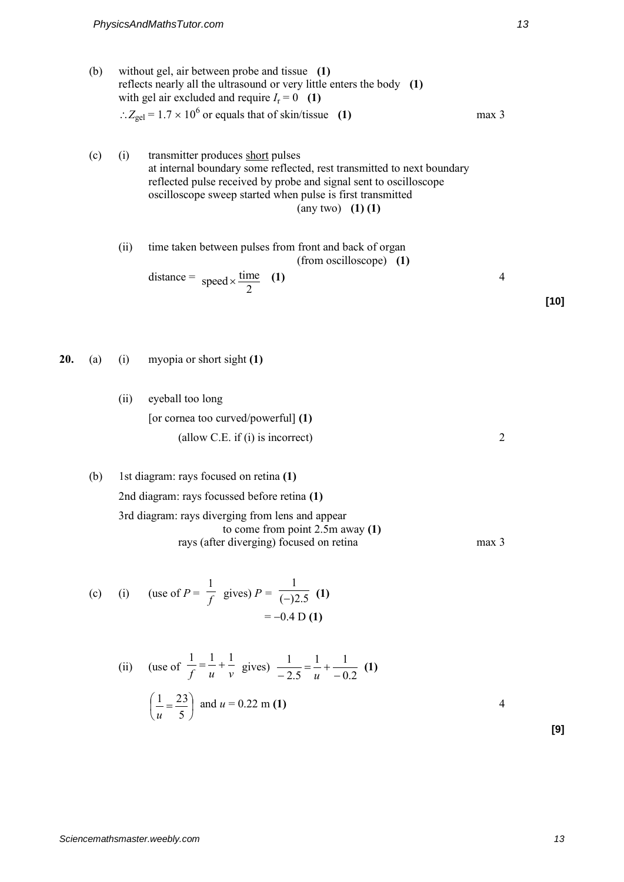- (b) without gel, air between probe and tissue **(1)** reflects nearly all the ultrasound or very little enters the body **(1)** with gel air excluded and require  $I_r = 0$  (1)  $\therefore Z_{\text{gel}} = 1.7 \times 10^6$  or equals that of skin/tissue **(1)** max 3
- (c) (i) transmitter produces short pulses at internal boundary some reflected, rest transmitted to next boundary reflected pulse received by probe and signal sent to oscilloscope oscilloscope sweep started when pulse is first transmitted (any two) **(1) (1)**

(ii) time taken between pulses from front and back of organ  
(from oscilloscope) (1)  
distance = 
$$
speed \times \frac{time}{2}
$$
 (1)

**20.** (a) (i) myopia or short sight **(1)**

- (ii) eyeball too long [or cornea too curved/powerful] **(1)** (allow C.E. if (i) is incorrect) 2
- (b) 1st diagram: rays focused on retina **(1)** 2nd diagram: rays focussed before retina **(1)** 3rd diagram: rays diverging from lens and appear to come from point 2.5m away **(1)** rays (after diverging) focused on retina max 3

(c) (i) (use of 
$$
P = \frac{1}{f}
$$
 gives)  $P = \frac{1}{(-)2.5}$  (1)  
= -0.4 D (1)

(ii) (use of 
$$
\frac{1}{f} = \frac{1}{u} + \frac{1}{v}
$$
 gives)  $\frac{1}{-2.5} = \frac{1}{u} + \frac{1}{-0.2}$  (1)  
 $\left(\frac{1}{u} = \frac{23}{5}\right)$  and  $u = 0.22$  m (1)

**[10]** 

**[9]**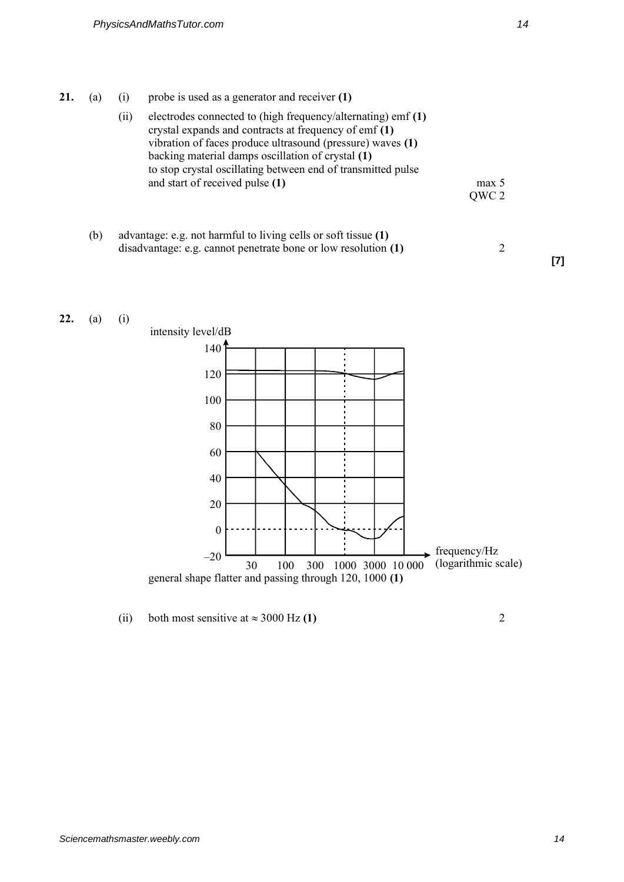- **21.** (a) (i) probe is used as a generator and receiver **(1)**
	- (ii) electrodes connected to (high frequency/alternating) emf **(1)** crystal expands and contracts at frequency of emf **(1)** vibration of faces produce ultrasound (pressure) waves **(1)** backing material damps oscillation of crystal **(1)**  to stop crystal oscillating between end of transmitted pulse and start of received pulse **(1)** max 5 QWC 2
	- (b) advantage: e.g. not harmful to living cells or soft tissue **(1)**  disadvantage: e.g. cannot penetrate bone or low resolution **(1)** 2



(ii) both most sensitive at  $\approx 3000$  Hz **(1)** 2

**[7]**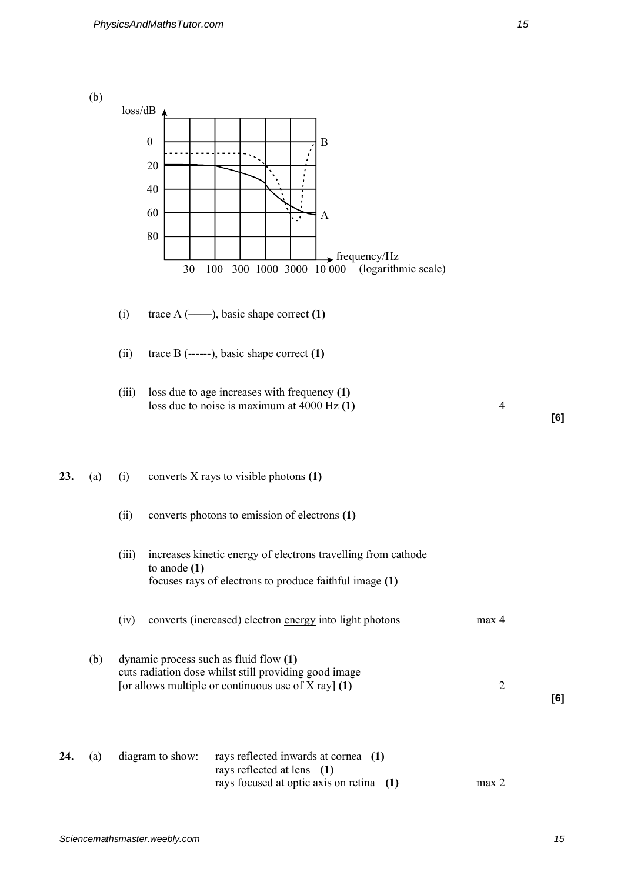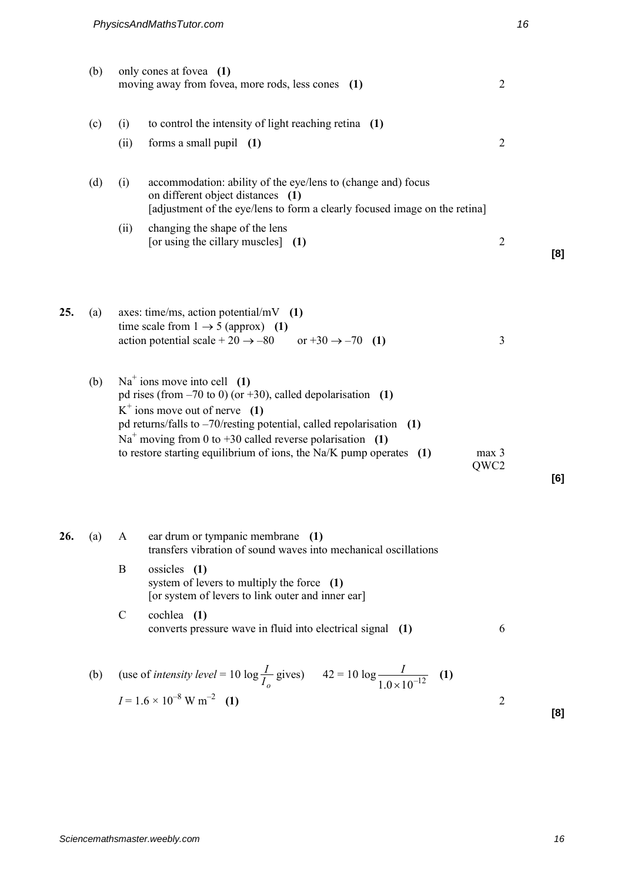|     | (b) |             | only cones at fovea (1)<br>moving away from fovea, more rods, less cones (1)                                                                                                                                                                                                                                                                             | $\overline{2}$           |     |
|-----|-----|-------------|----------------------------------------------------------------------------------------------------------------------------------------------------------------------------------------------------------------------------------------------------------------------------------------------------------------------------------------------------------|--------------------------|-----|
|     | (c) | (i)         | to control the intensity of light reaching retina (1)                                                                                                                                                                                                                                                                                                    |                          |     |
|     |     | (ii)        | forms a small pupil $(1)$                                                                                                                                                                                                                                                                                                                                | $\overline{2}$           |     |
|     | (d) | (i)         | accommodation: ability of the eye/lens to (change and) focus<br>on different object distances (1)<br>[adjustment of the eye/lens to form a clearly focused image on the retina]                                                                                                                                                                          |                          |     |
|     |     | (ii)        | changing the shape of the lens<br>[or using the cillary muscles] (1)                                                                                                                                                                                                                                                                                     | $\overline{2}$           | [8] |
| 25. | (a) |             | axes: time/ms, action potential/mV $(1)$<br>time scale from $1 \rightarrow 5$ (approx) (1)<br>action potential scale + 20 $\rightarrow$ -80 or +30 $\rightarrow$ -70 (1)                                                                                                                                                                                 | 3                        |     |
|     | (b) |             | $Na+$ ions move into cell (1)<br>pd rises (from $-70$ to 0) (or $+30$ ), called depolarisation (1)<br>$K^+$ ions move out of nerve (1)<br>pd returns/falls to $-70$ /resting potential, called repolarisation (1)<br>$Na+$ moving from 0 to +30 called reverse polarisation (1)<br>to restore starting equilibrium of ions, the Na/K pump operates $(1)$ | max <sub>3</sub><br>QWC2 | [6] |
| 26. | (a) | A           | ear drum or tympanic membrane (1)<br>transfers vibration of sound waves into mechanical oscillations                                                                                                                                                                                                                                                     |                          |     |
|     |     | B           | ossicles (1)<br>system of levers to multiply the force (1)<br>[or system of levers to link outer and inner ear]                                                                                                                                                                                                                                          |                          |     |
|     |     | $\mathbf C$ | cochlea $(1)$<br>converts pressure wave in fluid into electrical signal (1)                                                                                                                                                                                                                                                                              | 6                        |     |
|     | (b) |             | (use of <i>intensity level</i> = 10 log $\frac{I}{I_o}$ gives) $42 = 10 \log \frac{I}{1.0 \times 10^{-12}}$ (1)                                                                                                                                                                                                                                          |                          |     |
|     |     |             | $I = 1.6 \times 10^{-8} \text{ W m}^{-2}$ (1)                                                                                                                                                                                                                                                                                                            | $\overline{2}$           | [8] |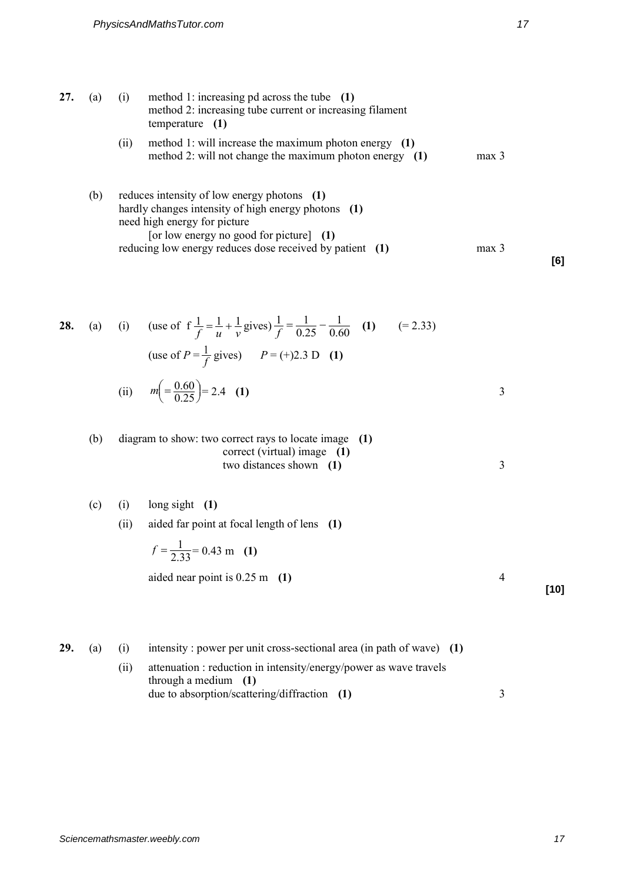- **27.** (a) (i) method 1: increasing pd across the tube **(1)**  method 2: increasing tube current or increasing filament temperature **(1)**  (ii) method 1: will increase the maximum photon energy **(1)** method 2: will not change the maximum photon energy (1) max 3
	- (b) reduces intensity of low energy photons **(1)**  hardly changes intensity of high energy photons **(1)**  need high energy for picture [or low energy no good for picture] **(1)** reducing low energy reduces dose received by patient **(1)** max 3

**28.** (a) (i) (use of  $f \frac{1}{f} = \frac{1}{u} + \frac{1}{v}$  $f \frac{1}{f} = \frac{1}{u} + \frac{1}{v}$  gives)  $\frac{1}{f} = \frac{1}{0.25} - \frac{1}{0.60}$ 1 0.25  $\frac{1}{c} = \frac{1}{225}$  $\frac{1}{f} = \frac{1}{0.25} - \frac{1}{0.60}$  (1)  $(= 2.33)$ (use of  $P = \frac{1}{f}$  $\frac{1}{f}$  gives)  $P = (+)2.3 \text{ D}$  (1) (ii)  $m\left( = \frac{0.00}{0.25} \right)$  $\left( = \frac{0.60}{0.25} \right)$  $m\left(=\frac{0.60}{0.25}\right) = 2.4$  (1) 3

(b) diagram to show: two correct rays to locate image **(1)** correct (virtual) image **(1)** two distances shown (1) 3

(c) (i) long sight **(1)**

(ii) aided far point at focal length of lens **(1)** 

$$
f = \frac{1}{2.33} = 0.43 \text{ m} \quad (1)
$$

aided near point is 0.25 m **(1)** 4

- **29.** (a) (i) intensity : power per unit cross-sectional area (in path of wave) **(1)**
	- (ii) attenuation : reduction in intensity/energy/power as wave travels through a medium **(1)** due to absorption/scattering/diffraction **(1)** 3

**[6]** 

**[10]**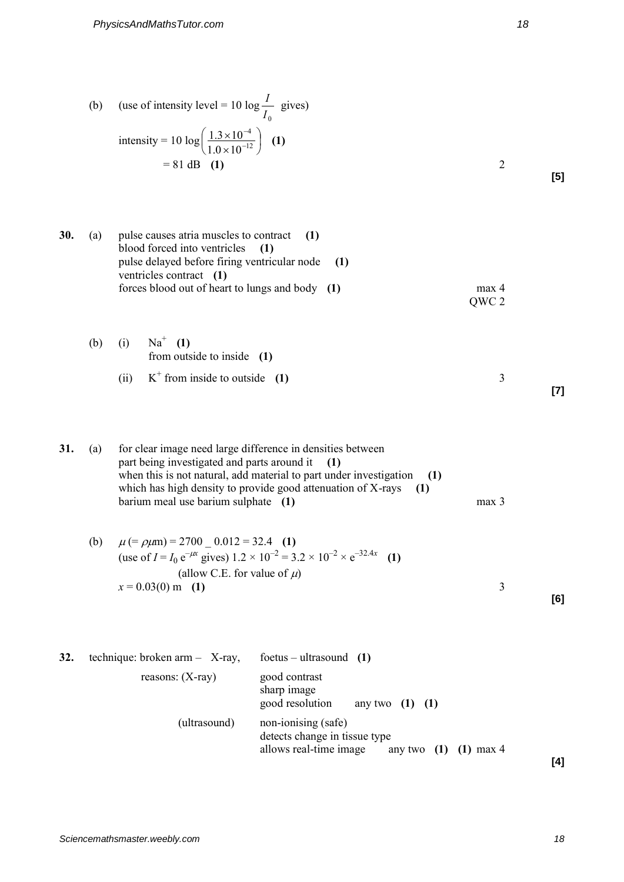(b) (use of intensity level = 10 log 
$$
\frac{I}{I_0}
$$
 gives)  
\nintensity = 10 log  $\left(\frac{1.3 \times 10^{-4}}{1.0 \times 10^{-12}}\right)$  (1)  
\n= 81 dB (1)

| 30. | (a) | pulse causes atria muscles to contract (1)       |                  |
|-----|-----|--------------------------------------------------|------------------|
|     |     | blood forced into ventricles (1)                 |                  |
|     |     | pulse delayed before firing ventricular node (1) |                  |
|     |     | ventricles contract (1)                          |                  |
|     |     | forces blood out of heart to lungs and body (1)  | max <sub>4</sub> |
|     |     |                                                  | OWC 2            |

(b) (i) 
$$
Na^+
$$
 (1)  
from outside to inside (1)

(ii) 
$$
K^+
$$
 from inside to outside (1) 3

**31.** (a) for clear image need large difference in densities between part being investigated and parts around it **(1)** when this is not natural, add material to part under investigation **(1)** which has high density to provide good attenuation of X-rays **(1)** barium meal use barium sulphate **(1)** max 3

(b) 
$$
\mu
$$
 (=  $\rho \mu$ m) = 2700 – 0.012 = 32.4 (1)  
\n(use of  $I = I_0 e^{-\mu x}$  gives) 1.2 × 10<sup>-2</sup> = 3.2 × 10<sup>-2</sup> × e<sup>-32.4x</sup> (1)  
\n(allow C.E. for value of  $\mu$ )  
\n $x = 0.03(0)$  m (1)

**[6]** 

**[7]** 

**32.** technique: broken arm – X-ray, foetus – ultrasound **(1)**  reasons: (X-ray) good contrast sharp image good resolution any two **(1) (1)** (ultrasound) non-ionising (safe) detects change in tissue type allows real-time image any two **(1) (1)** max 4 **[5]**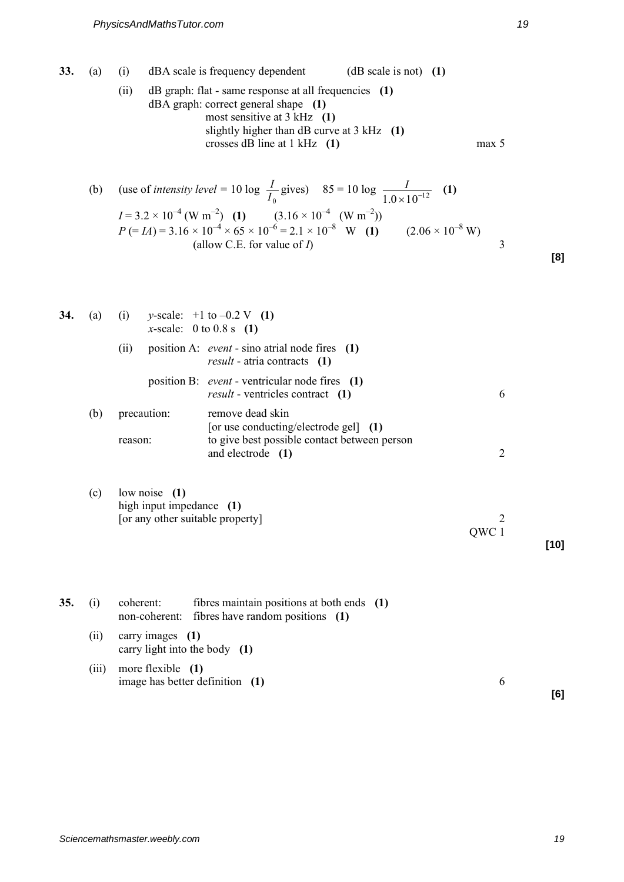| 33. | (a)   | (i)<br>(ii)                | dBA scale is frequency dependent<br>$(dB scale is not)$ (1)<br>dB graph: flat - same response at all frequencies (1)<br>$dBA$ graph: correct general shape $(1)$<br>most sensitive at $3$ kHz (1)<br>slightly higher than $dB$ curve at 3 kHz $(1)$<br>crosses dB line at $1$ kHz $(1)$                                                                                      | max 5          |        |
|-----|-------|----------------------------|------------------------------------------------------------------------------------------------------------------------------------------------------------------------------------------------------------------------------------------------------------------------------------------------------------------------------------------------------------------------------|----------------|--------|
|     | (b)   |                            | (use of <i>intensity level</i> = 10 log $\frac{I}{I_0}$ gives) 85 = 10 log $\frac{I}{1.0 \times 10^{-12}}$ (1)<br>$I = 3.2 \times 10^{-4}$ (W m <sup>-2</sup> ) (1) $(3.16 \times 10^{-4}$ (W m <sup>-2</sup> ))<br>$P (= IA) = 3.16 \times 10^{-4} \times 65 \times 10^{-6} = 2.1 \times 10^{-8}$ W (1) $(2.06 \times 10^{-8} \text{ W})$<br>(allow C.E. for value of $I$ ) | 3              | [8]    |
| 34. | (a)   | (ii)                       | (i) y-scale: $+1$ to $-0.2$ V (1)<br><i>x</i> -scale: 0 to 0.8 s (1)<br>position A: event - sino atrial node fires (1)<br>$result - \text{atria contracts}$ (1)                                                                                                                                                                                                              |                |        |
|     |       |                            | position B: <i>event</i> - ventricular node fires (1)<br>result - ventricles contract (1)                                                                                                                                                                                                                                                                                    | 6              |        |
|     | (b)   | precaution:<br>reason:     | remove dead skin<br>[or use conducting/electrode gel] (1)<br>to give best possible contact between person<br>and electrode (1)                                                                                                                                                                                                                                               | $\overline{2}$ |        |
|     | (c)   | low noise $(1)$            | high input impedance (1)<br>[or any other suitable property]                                                                                                                                                                                                                                                                                                                 | 2<br>QWC 1     | $[10]$ |
| 35. | (i)   | coherent:<br>non-coherent: | fibres maintain positions at both ends (1)<br>fibres have random positions (1)                                                                                                                                                                                                                                                                                               |                |        |
|     | (ii)  | carry images (1)           | carry light into the body (1)                                                                                                                                                                                                                                                                                                                                                |                |        |
|     | (iii) | more flexible (1)          | image has better definition (1)                                                                                                                                                                                                                                                                                                                                              | 6              |        |

**[6]**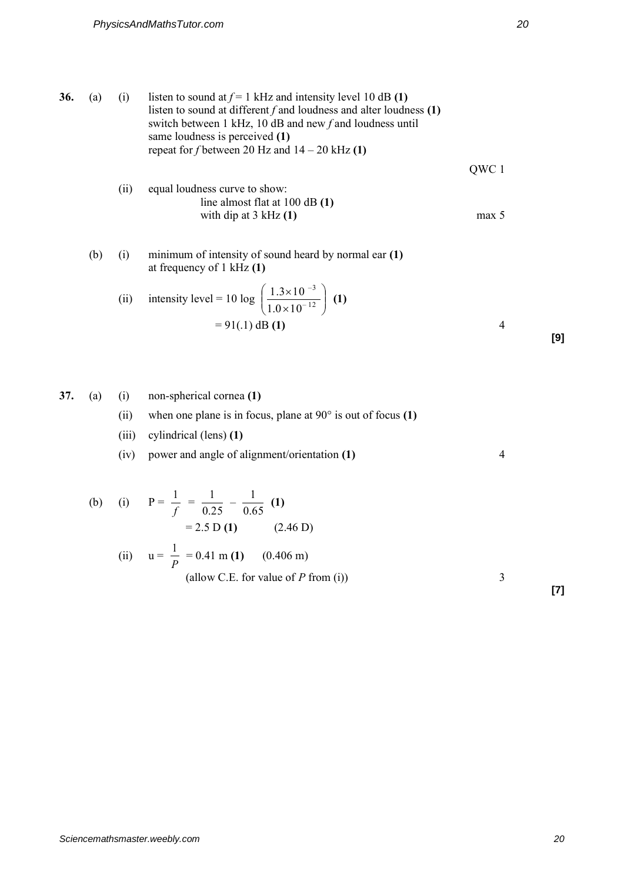\n- \n36. (a) (i) listen to sound at 
$$
f = 1
$$
 kHz and intensity level 10 dB (1) listen to sound at different *f* and loudness and alter loudness (1) switch between 1 kHz, 10 dB and new *f* and loudness until same loudness is perceived (1) repeat for *f* between 20 Hz and 14 – 20 kHz (1)  $QWC 1$ 

\n
\n- \n(ii) equal loudness curve to show: line almost flat at 100 dB (1) with dip at 3 kHz (1)  $max 5$ 

\n
\n- \n(b) (i) minimum of intensity of sound heard by normal ear (1) at frequency of 1 kHz (1)  $max(1)$ 

\n
\n- \n(ii) intensity level = 10 log  $\left(\frac{1.3 \times 10^{-3}}{1.0 \times 10^{-12}}\right)$  (1)  $= 91(.1) \, \text{dB} \, \text{(1)}$ 

\n
\n- \n37. (a) (i) non-spherical cornea (1)

\n
\n

(ii) when one plane is in focus, plane at 
$$
90^{\circ}
$$
 is out of focus (1)

(iii) cylindrical (lens) **(1)** 

(iv) power and angle of alignment/orientation **(1)** 4

(b) (i) 
$$
P = \frac{1}{f} = \frac{1}{0.25} - \frac{1}{0.65}
$$
 (1)  
= 2.5 D (1) (2.46 D)  
(ii)  $u = \frac{1}{R} = 0.41 \text{ m (1)}$  (0.406 m)

) 
$$
u = \frac{1}{P} = 0.41 \text{ m (1)}
$$
 (0.406 m)  
(allow C.E. for value of *P* from (i))

**[7]** 

**[9]**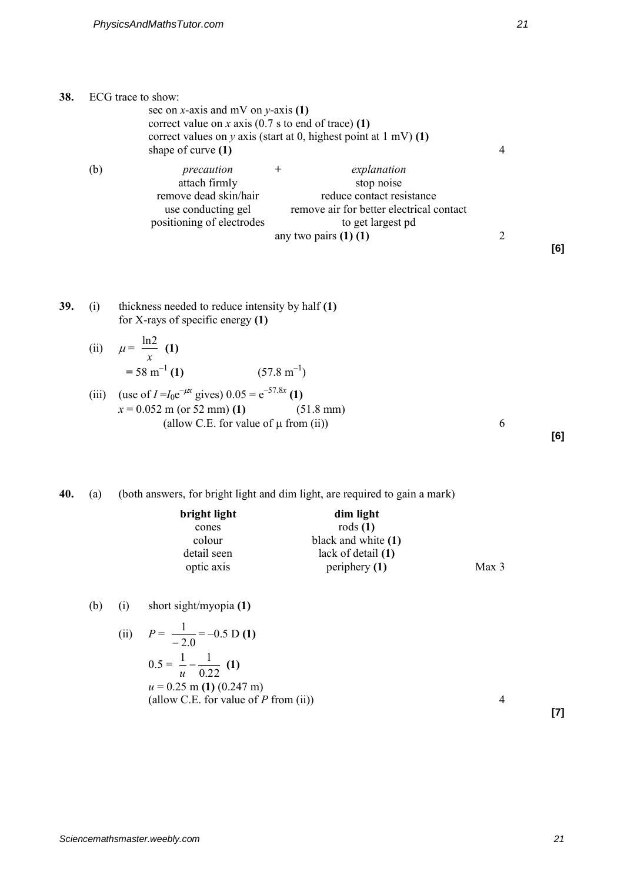**38.** ECG trace to show:

**[6]** 

| <b>39.</b> (i) | thickness needed to reduce intensity by half (1) |
|----------------|--------------------------------------------------|
|                | for X-rays of specific energy $(1)$              |

attach firmly<br>remove dead skin/hair

sec on *x*-axis and mV on *y*-axis **(1)** 

correct value on *x* axis (0.7 s to end of trace) **(1)** 

(b) *precaution* + *explanation*<br>attach firmly **be attack** to the stop noise

correct values on *y* axis (start at 0, highest point at 1 mV) **(1)** 

remove dead skin/hair reduce contact resistance<br>use conducting gel remove air for better electrical c

positioning of electrodes to get largest pd

shape of curve  $(1)$  4

remove air for better electrical contact

any two pairs **(1) (1)** 2

(ii) 
$$
\mu = \frac{\ln 2}{x}
$$
 (1)  
= 58 m<sup>-1</sup> (1) (57.8 m<sup>-1</sup>)

(iii) (use of 
$$
I = I_0 e^{-\mu x}
$$
 gives)  $0.05 = e^{-57.8x}$  (1)  
\n $x = 0.052$  m (or 52 mm) (1) (51.8 mm)  
\n(allow C.E. for value of  $\mu$  from (ii)) (51.8 mm)

**40.** (a) (both answers, for bright light and dim light, are required to gain a mark)

| bright light | dim light           |                  |
|--------------|---------------------|------------------|
| cones        | rods $(1)$          |                  |
| colour       | black and white (1) |                  |
| detail seen  | lack of detail (1)  |                  |
| optic axis   | periphery $(1)$     | Max <sub>3</sub> |

## (b) (i) short sight/myopia **(1)**

1

(ii) 
$$
P = \frac{1}{-2.0} = -0.5 \text{ D (1)}
$$
  
\n $0.5 = \frac{1}{u} - \frac{1}{0.22} \text{ (1)}$   
\n $u = 0.25 \text{ m (1) } (0.247 \text{ m})$   
\n(allow C.E. for value of *P* from (ii))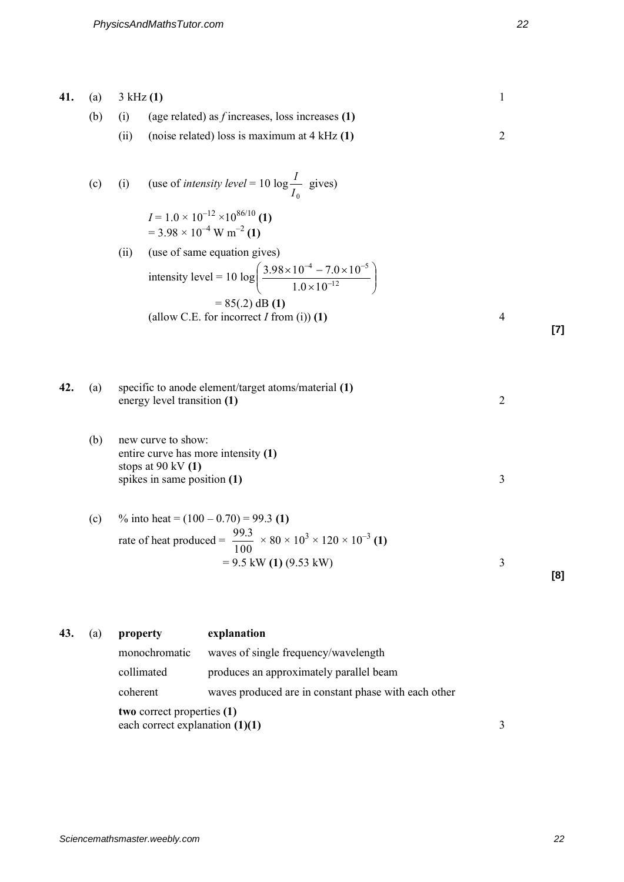| 41. | (a) | 3 kHz(1)<br>$\mathbf{1}$                                                                                                   |                                                                                                                                              |                         |  |
|-----|-----|----------------------------------------------------------------------------------------------------------------------------|----------------------------------------------------------------------------------------------------------------------------------------------|-------------------------|--|
|     | (b) | (i)                                                                                                                        | (age related) as $f$ increases, loss increases (1)                                                                                           |                         |  |
|     |     | (ii)                                                                                                                       | (noise related) loss is maximum at $4$ kHz $(1)$                                                                                             | $\overline{2}$          |  |
|     | (c) | (i)                                                                                                                        | (use of <i>intensity level</i> = 10 log $\frac{I}{I_0}$ gives)<br>$I = 1.0 \times 10^{-12} \times 10^{86/10}$ (1)                            |                         |  |
|     |     |                                                                                                                            | $= 3.98 \times 10^{-4}$ W m <sup>-2</sup> (1)                                                                                                |                         |  |
|     |     | (ii)                                                                                                                       | (use of same equation gives)<br>intensity level = 10 log $\left(\frac{3.98 \times 10^{-4} - 7.0 \times 10^{-5}}{1.0 \times 10^{-12}}\right)$ |                         |  |
|     |     |                                                                                                                            | $= 85(.2)$ dB (1)<br>(allow C.E. for incorrect $I$ from (i)) (1)                                                                             | $\overline{4}$<br>$[7]$ |  |
| 42. | (a) |                                                                                                                            | specific to anode element/target atoms/material (1)                                                                                          | $\overline{2}$          |  |
|     |     | energy level transition (1)                                                                                                |                                                                                                                                              |                         |  |
|     | (b) | new curve to show:<br>entire curve has more intensity (1)<br>stops at $90 \text{ kV (1)}$<br>spikes in same position $(1)$ |                                                                                                                                              | 3                       |  |
|     | (c) |                                                                                                                            | % into heat = $(100 - 0.70) = 99.3$ (1)<br>rate of heat produced = $\frac{99.3}{100} \times 80 \times 10^3 \times 120 \times 10^{-3}$ (1)    |                         |  |
|     |     |                                                                                                                            | $= 9.5$ kW (1) (9.53 kW)                                                                                                                     | $\mathfrak{Z}$<br>[8]   |  |
| 43. | (a) | property                                                                                                                   | explanation                                                                                                                                  |                         |  |
|     |     | monochromatic                                                                                                              | waves of single frequency/wavelength                                                                                                         |                         |  |
|     |     | $\sim 11$ imeter                                                                                                           | anoduces on cannovimetally nouallel home                                                                                                     |                         |  |

collimated produces an approximately parallel beam coherent waves produced are in constant phase with each other  **two** correct properties **(1)** each correct explanation **(1)(1)** 3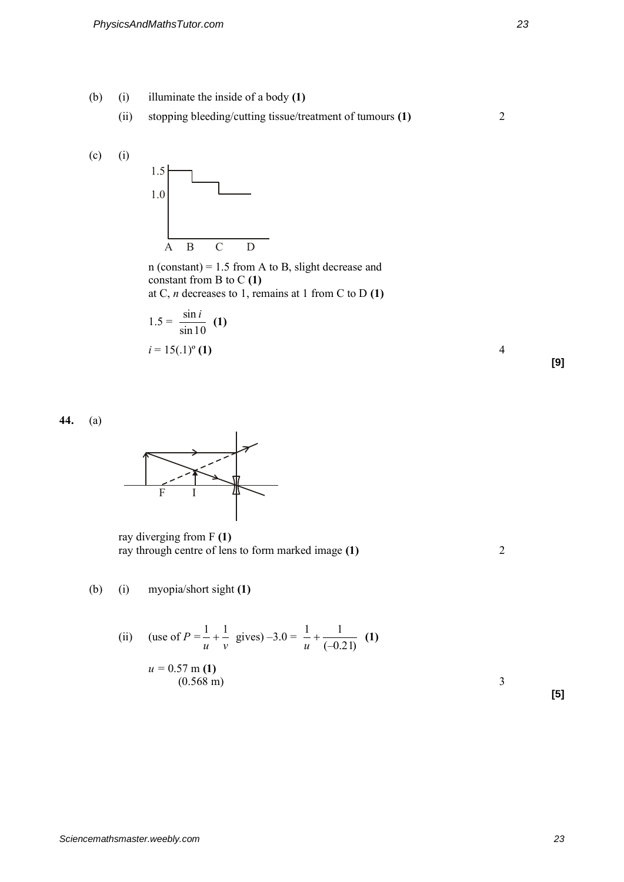- (b) (i) illuminate the inside of a body **(1)**
	- (ii) stopping bleeding/cutting tissue/treatment of tumours **(1)** 2



 n (constant) = 1.5 from A to B, slight decrease and constant from B to C **(1)** at C, *n* decreases to 1, remains at 1 from C to D **(1)**

$$
1.5 = \frac{\sin i}{\sin 10} \text{ (1)}
$$
  

$$
i = 15(.1)^{\circ} \text{ (1)}
$$

**44.** (a)



 ray diverging from F **(1)**  ray through centre of lens to form marked image **(1)** 2

(b) (i) myopia/short sight **(1)**

(ii) (use of 
$$
P = \frac{1}{u} + \frac{1}{v}
$$
 gives  $-3.0 = \frac{1}{u} + \frac{1}{(-0.21)}$  (1)  
 $u = 0.57 \text{ m (1)}$   
(0.568 m)

**[5]**

**[9]**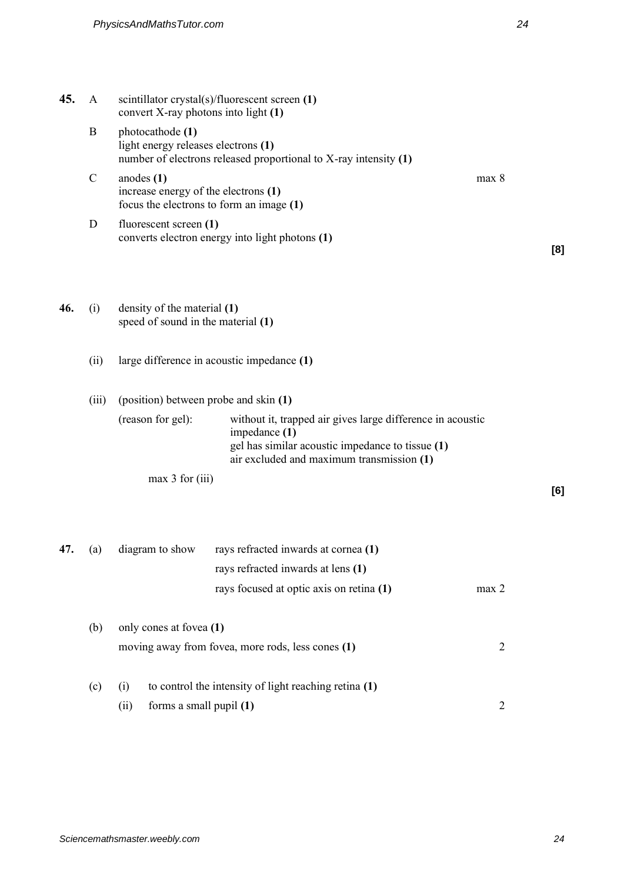| 45. | $\mathbf{A}$ | convert X-ray photons into light (1)                                              | scintillator crystal(s)/fluorescent screen (1)                                                                                                                               |            |     |
|-----|--------------|-----------------------------------------------------------------------------------|------------------------------------------------------------------------------------------------------------------------------------------------------------------------------|------------|-----|
|     | B            | photocathode (1)<br>light energy releases electrons (1)                           | number of electrons released proportional to X-ray intensity (1)                                                                                                             |            |     |
|     | $\mathbf C$  | anodes $(1)$<br>increase energy of the electrons (1)                              | focus the electrons to form an image (1)                                                                                                                                     | max 8      |     |
|     | D            | fluorescent screen (1)                                                            | converts electron energy into light photons (1)                                                                                                                              |            | [8] |
| 46. | (i)          | density of the material (1)<br>speed of sound in the material (1)                 |                                                                                                                                                                              |            |     |
|     | (ii)         |                                                                                   | large difference in acoustic impedance (1)                                                                                                                                   |            |     |
|     | (iii)        | (position) between probe and skin (1)                                             |                                                                                                                                                                              |            |     |
|     |              | (reason for gel):                                                                 | without it, trapped air gives large difference in acoustic<br>impedance (1)<br>gel has similar acoustic impedance to tissue (1)<br>air excluded and maximum transmission (1) |            |     |
|     |              | max 3 for (iii)                                                                   |                                                                                                                                                                              |            | [6] |
| 47. | (a)          | diagram to show                                                                   | rays refracted inwards at cornea (1)<br>rays refracted inwards at lens (1)<br>rays focused at optic axis on retina (1)                                                       | max 2      |     |
|     | (b)          | only cones at fovea (1)<br>moving away from fovea, more rods, less cones (1)<br>2 |                                                                                                                                                                              |            |     |
|     | (c)          | (i)<br>forms a small pupil (1)<br>(ii)                                            | to control the intensity of light reaching retina (1)                                                                                                                        | $\sqrt{2}$ |     |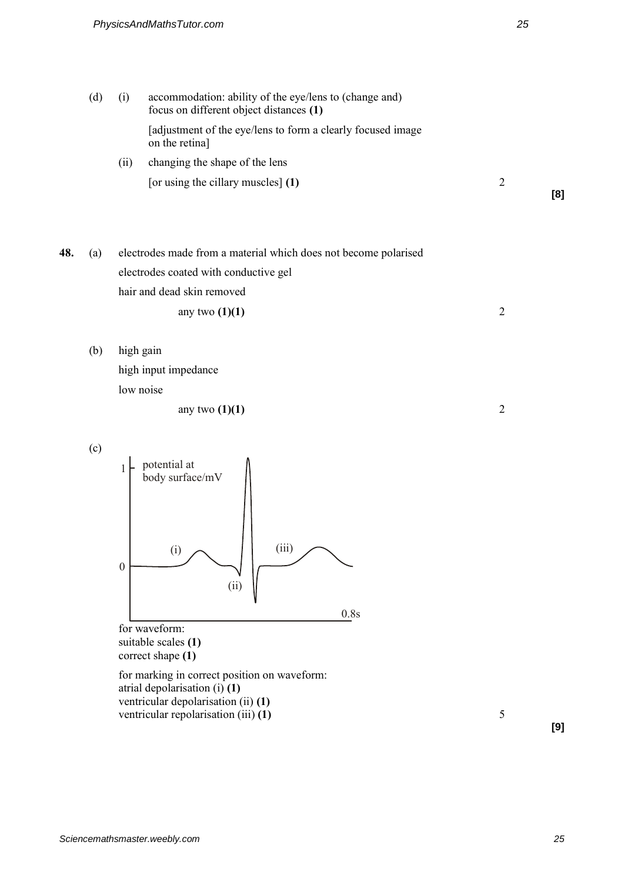(d) (i) accommodation: ability of the eye/lens to (change and) focus on different object distances **(1)** [adjustment of the eye/lens to form a clearly focused image on the retina] (ii) changing the shape of the lens

[or using the cillary muscles] **(1)** 2

**[8]** 

**48.** (a) electrodes made from a material which does not become polarised electrodes coated with conductive gel hair and dead skin removed any two **(1)(1)** 2

(b) high gain

 high input impedance low noise

any two **(1)(1)** 2

(c)



suitable scales **(1)**  correct shape **(1)**

 for marking in correct position on waveform: atrial depolarisation (i) **(1)** ventricular depolarisation (ii) **(1)** ventricular repolarisation (iii) **(1)** 5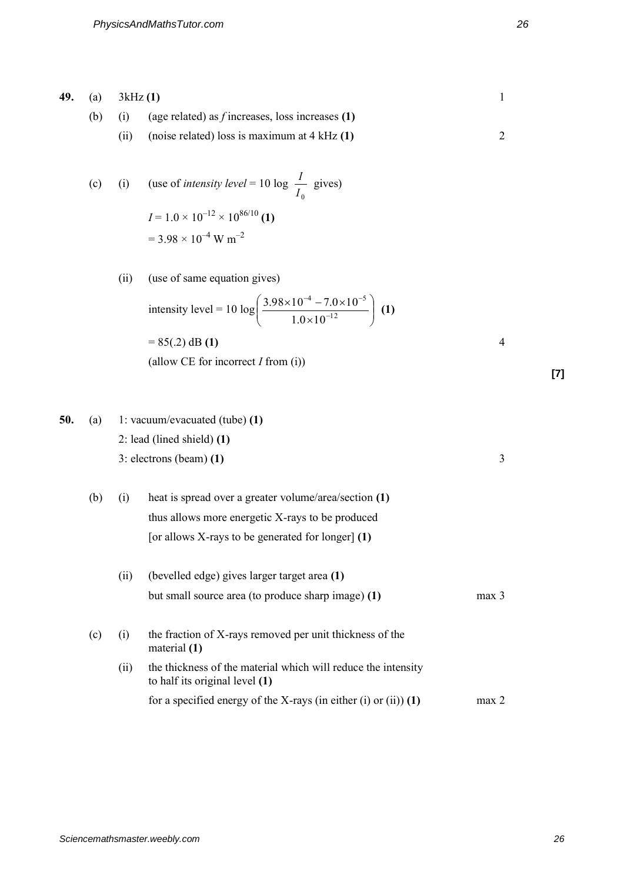| 49. | (a) | 3kHz(1) |                                                                                                                    | $\mathbf{1}$     |
|-----|-----|---------|--------------------------------------------------------------------------------------------------------------------|------------------|
|     | (b) | (i)     | (age related) as $f$ increases, loss increases (1)                                                                 |                  |
|     |     | (ii)    | (noise related) loss is maximum at $4$ kHz $(1)$                                                                   | $\overline{2}$   |
|     |     |         |                                                                                                                    |                  |
|     | (c) | (i)     | (use of <i>intensity level</i> = 10 log $\frac{1}{I_0}$ gives)                                                     |                  |
|     |     |         | $I = 1.0 \times 10^{-12} \times 10^{86/10}$ (1)                                                                    |                  |
|     |     |         | $= 3.98 \times 10^{-4}$ W m <sup>-2</sup>                                                                          |                  |
|     |     |         |                                                                                                                    |                  |
|     |     | (ii)    | (use of same equation gives)                                                                                       |                  |
|     |     |         | intensity level = 10 log $\left( \frac{3.98 \times 10^{-4} - 7.0 \times 10^{-5}}{1.0 \times 10^{-12}} \right)$ (1) |                  |
|     |     |         | $= 85(.2)$ dB (1)                                                                                                  | 4                |
|     |     |         | (allow CE for incorrect $I$ from (i))                                                                              |                  |
|     |     |         |                                                                                                                    |                  |
|     |     |         |                                                                                                                    |                  |
|     |     |         |                                                                                                                    |                  |
| 50. | (a) |         | 1: vacuum/evacuated (tube) $(1)$                                                                                   |                  |
|     |     |         | 2: lead (lined shield) $(1)$                                                                                       |                  |
|     |     |         | $3:$ electrons (beam) $(1)$                                                                                        | 3                |
|     | (b) | (i)     | heat is spread over a greater volume/area/section (1)                                                              |                  |
|     |     |         | thus allows more energetic X-rays to be produced                                                                   |                  |
|     |     |         | [or allows X-rays to be generated for longer] $(1)$                                                                |                  |
|     |     |         |                                                                                                                    |                  |
|     |     | (ii)    | (bevelled edge) gives larger target area (1)                                                                       |                  |
|     |     |         | but small source area (to produce sharp image) (1)                                                                 | max <sub>3</sub> |
|     | (c) | (i)     | the fraction of X-rays removed per unit thickness of the<br>material (1)                                           |                  |
|     |     | (ii)    | the thickness of the material which will reduce the intensity<br>to half its original level (1)                    |                  |
|     |     |         | for a specified energy of the X-rays (in either (i) or (ii)) $(1)$                                                 | max <sub>2</sub> |

**[7]**